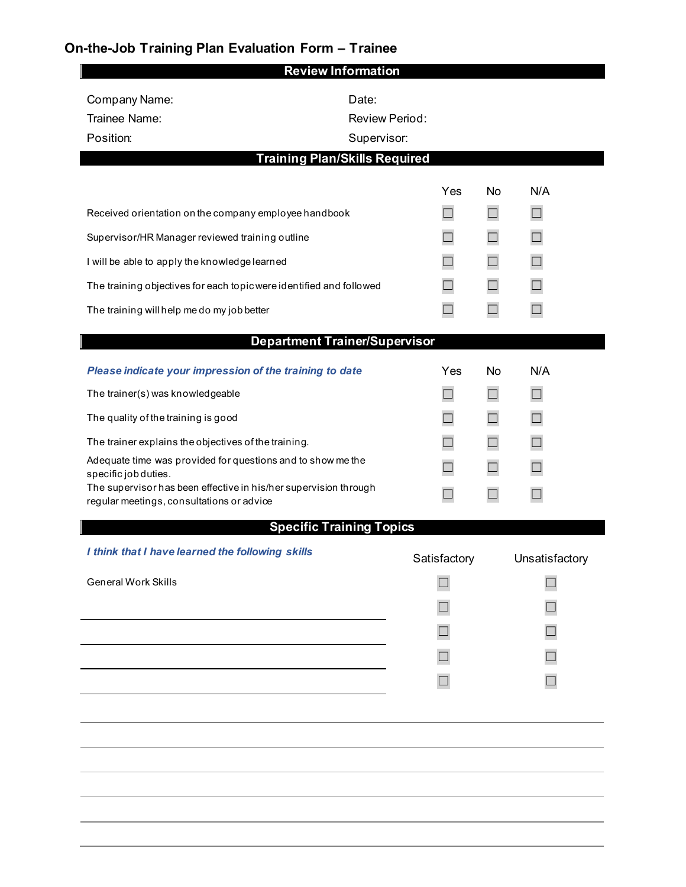## **On-the-Job Training Plan Evaluation Form – Trainee**

|                                                                                          | <b>Review Information</b>       |              |        |                |  |  |  |
|------------------------------------------------------------------------------------------|---------------------------------|--------------|--------|----------------|--|--|--|
| Company Name:                                                                            | Date:                           |              |        |                |  |  |  |
| Trainee Name:                                                                            | <b>Review Period:</b>           |              |        |                |  |  |  |
| Position:                                                                                | Supervisor:                     |              |        |                |  |  |  |
| <b>Training Plan/Skills Required</b>                                                     |                                 |              |        |                |  |  |  |
|                                                                                          |                                 | Yes          | No     | N/A            |  |  |  |
| Received orientation on the company employee handbook                                    |                                 |              | $\Box$ |                |  |  |  |
| Supervisor/HR Manager reviewed training outline                                          |                                 |              | $\Box$ | $\Box$         |  |  |  |
| I will be able to apply the knowledge learned                                            |                                 |              | $\Box$ | $\Box$         |  |  |  |
| The training objectives for each topic were identified and followed                      |                                 |              | $\Box$ | $\Box$         |  |  |  |
| The training will help me do my job better                                               |                                 |              | - 1    |                |  |  |  |
| <b>Department Trainer/Supervisor</b>                                                     |                                 |              |        |                |  |  |  |
| Please indicate your impression of the training to date                                  |                                 | Yes          | No     | N/A            |  |  |  |
| The trainer(s) was knowledgeable                                                         |                                 |              | $\Box$ | П              |  |  |  |
| The quality of the training is good                                                      |                                 | ┒            | $\Box$ | $\mathbb{R}^2$ |  |  |  |
| The trainer explains the objectives of the training.                                     |                                 | $\Box$       | $\Box$ | $\Box$         |  |  |  |
| Adequate time was provided for questions and to show me the                              |                                 |              | $\Box$ |                |  |  |  |
| specific job duties.<br>The supervisor has been effective in his/her supervision through |                                 |              | П      |                |  |  |  |
| regular meetings, consultations or advice                                                |                                 |              |        |                |  |  |  |
|                                                                                          | <b>Specific Training Topics</b> |              |        |                |  |  |  |
| I think that I have learned the following skills                                         |                                 | Satisfactory |        | Unsatisfactory |  |  |  |
| <b>General Work Skills</b>                                                               |                                 |              |        |                |  |  |  |
|                                                                                          |                                 |              |        |                |  |  |  |
|                                                                                          |                                 |              |        |                |  |  |  |
|                                                                                          |                                 |              |        |                |  |  |  |
|                                                                                          |                                 |              |        |                |  |  |  |
|                                                                                          |                                 |              |        |                |  |  |  |
|                                                                                          |                                 |              |        |                |  |  |  |
|                                                                                          |                                 |              |        |                |  |  |  |
|                                                                                          |                                 |              |        |                |  |  |  |
|                                                                                          |                                 |              |        |                |  |  |  |
|                                                                                          |                                 |              |        |                |  |  |  |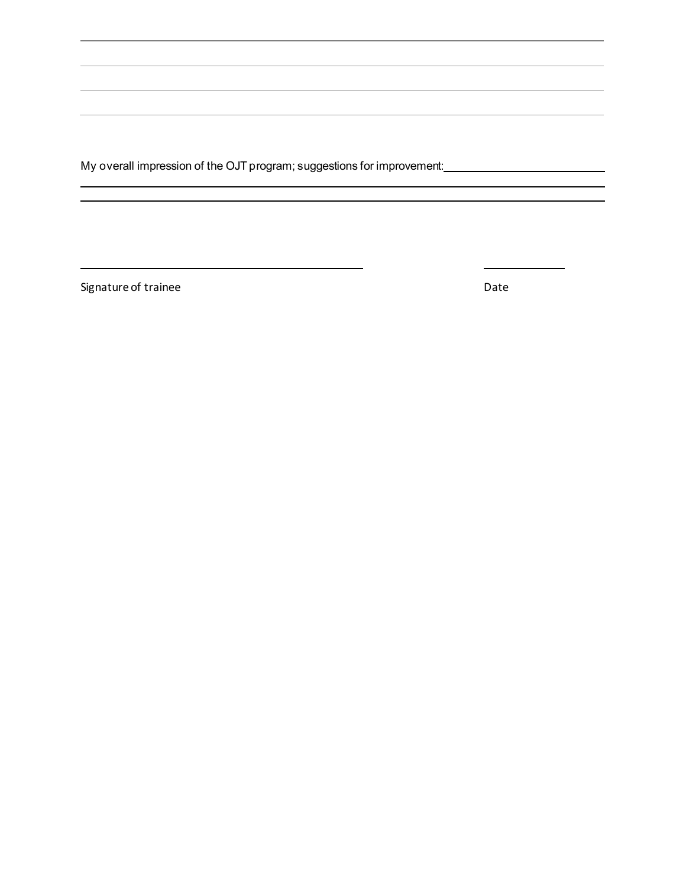My overall impression of the OJT program; suggestions for improvement:<br>
<u>My overall impression</u> of the OJT program; suggestions for improvement:

,我们也不会有什么。""我们的人,我们也不会有什么?""我们的人,我们也不会有什么?""我们的人,我们也不会有什么?""我们的人,我们也不会有什么?""我们的人

Signature of trainee Date Date Date

 $\overline{\phantom{0}}$ 

 $\overline{\phantom{a}}$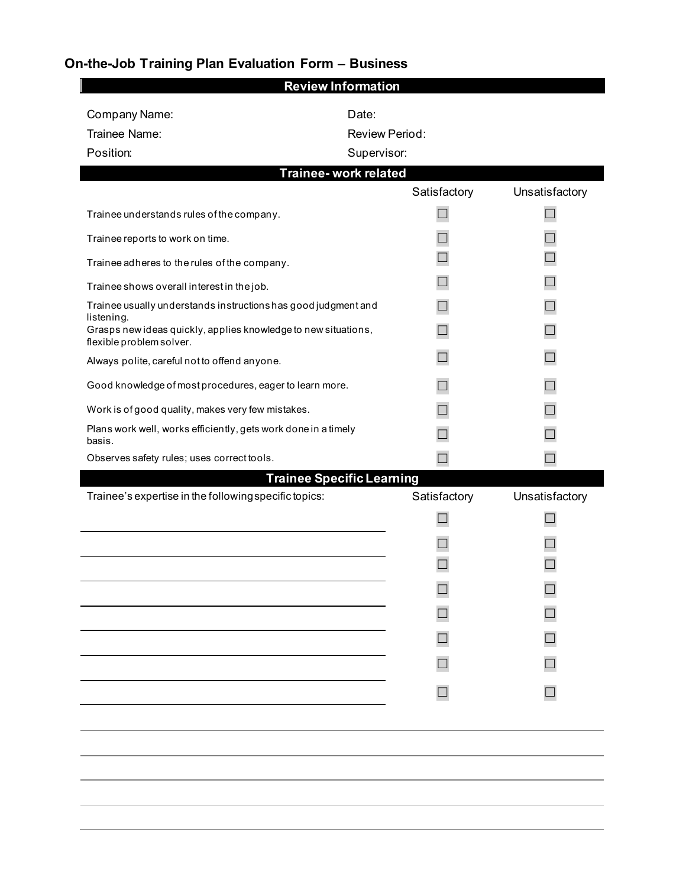## **On-the-Job Training Plan Evaluation Form – Business**

| <b>Review Information</b>                                                                  |                                  |                |  |  |  |  |  |  |
|--------------------------------------------------------------------------------------------|----------------------------------|----------------|--|--|--|--|--|--|
| Company Name:                                                                              | Date:                            |                |  |  |  |  |  |  |
| Trainee Name:                                                                              | <b>Review Period:</b>            |                |  |  |  |  |  |  |
| Position:                                                                                  | Supervisor:                      |                |  |  |  |  |  |  |
| Trainee- work related                                                                      |                                  |                |  |  |  |  |  |  |
|                                                                                            | Satisfactory                     | Unsatisfactory |  |  |  |  |  |  |
| Trainee understands rules of the company.                                                  |                                  |                |  |  |  |  |  |  |
| Trainee reports to work on time.                                                           |                                  |                |  |  |  |  |  |  |
| Trainee adheres to the rules of the company.                                               |                                  |                |  |  |  |  |  |  |
| Trainee shows overall interest in the job.                                                 |                                  |                |  |  |  |  |  |  |
| Trainee usually understands instructionshas good judgment and<br>listening.                |                                  |                |  |  |  |  |  |  |
| Grasps new ideas quickly, applies knowledge to new situations,<br>flexible problem solver. |                                  |                |  |  |  |  |  |  |
| Always polite, careful not to offend anyone.                                               |                                  |                |  |  |  |  |  |  |
| Good knowledge of most procedures, eager to learn more.                                    |                                  |                |  |  |  |  |  |  |
| Work is of good quality, makes very few mistakes.                                          |                                  |                |  |  |  |  |  |  |
| Plans work well, works efficiently, gets work done in a timely<br>basis.                   |                                  |                |  |  |  |  |  |  |
| Observes safety rules; uses correct tools.                                                 |                                  |                |  |  |  |  |  |  |
|                                                                                            | <b>Trainee Specific Learning</b> |                |  |  |  |  |  |  |
| Trainee's expertise in the following specific topics:                                      | Satisfactory                     | Unsatisfactory |  |  |  |  |  |  |
|                                                                                            |                                  |                |  |  |  |  |  |  |
|                                                                                            |                                  |                |  |  |  |  |  |  |
|                                                                                            |                                  |                |  |  |  |  |  |  |
|                                                                                            |                                  |                |  |  |  |  |  |  |
|                                                                                            |                                  |                |  |  |  |  |  |  |
|                                                                                            |                                  |                |  |  |  |  |  |  |
|                                                                                            |                                  |                |  |  |  |  |  |  |
|                                                                                            |                                  |                |  |  |  |  |  |  |
|                                                                                            |                                  |                |  |  |  |  |  |  |
|                                                                                            |                                  |                |  |  |  |  |  |  |
|                                                                                            |                                  |                |  |  |  |  |  |  |
|                                                                                            |                                  |                |  |  |  |  |  |  |
|                                                                                            |                                  |                |  |  |  |  |  |  |